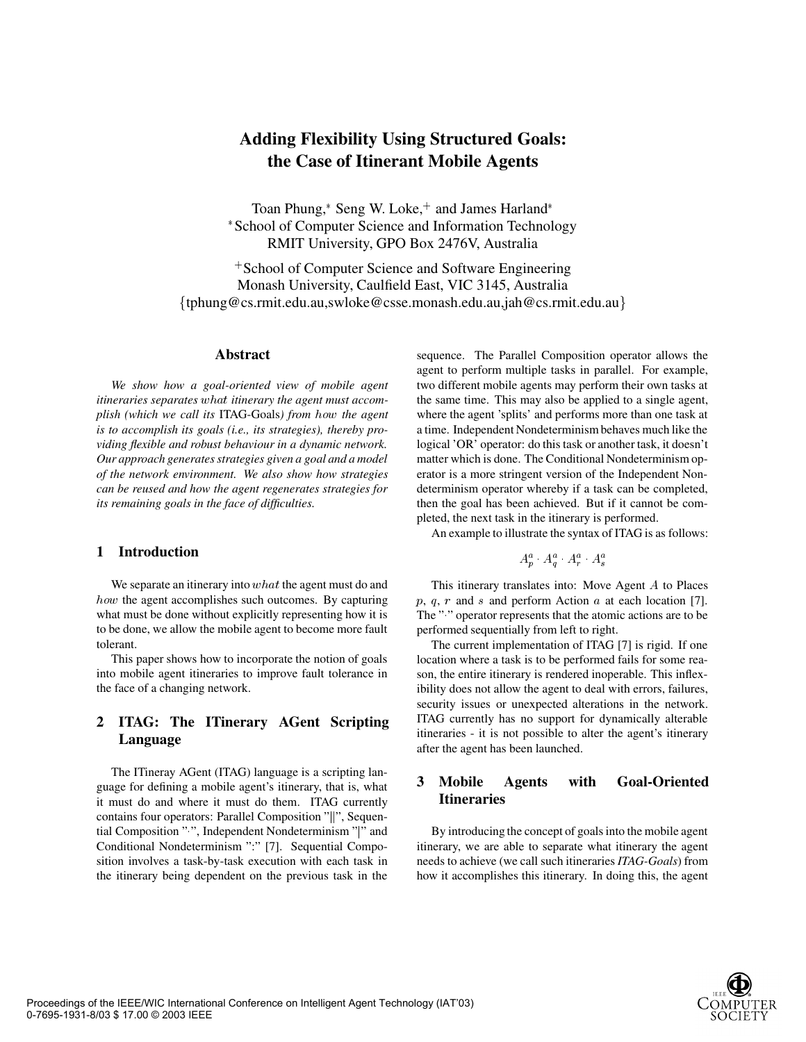# **Adding Flexibility Using Structured Goals: the Case of Itinerant Mobile Agents**

Toan Phung, Seng W. Loke, and James Harland School of Computer Science and Information Technology RMIT University, GPO Box 2476V, Australia

 School of Computer Science and Software Engineering Monash University, Caulfield East, VIC 3145, Australia tphung@cs.rmit.edu.au,swloke@csse.monash.edu.au,jah@cs.rmit.edu.au

#### **Abstract**

*We show how a goal-oriented view of mobile agent* itineraries separates what itinerary the agent must accom*plish (which we call its* ITAG-Goals*) from the agent is to accomplish its goals (i.e., its strategies), thereby providing flexible and robust behaviour in a dynamic network. Our approach generates strategies given a goal and a model of the network environment. We also show how strategies can be reused and how the agent regenerates strategies for its remaining goals in the face of difficulties.*

### **1 Introduction**

We separate an itinerary into  $what$  the agent must do and  $how$  the agent accomplishes such outcomes. By capturing what must be done without explicitly representing how it is to be done, we allow the mobile agent to become more fault tolerant.

This paper shows how to incorporate the notion of goals into mobile agent itineraries to improve fault tolerance in the face of a changing network.

## **2 ITAG: The ITinerary AGent Scripting Language**

The ITineray AGent (ITAG) language is a scripting language for defining a mobile agent's itinerary, that is, what it must do and where it must do them. ITAG currently contains four operators: Parallel Composition "||", Sequential Composition "", Independent Nondeterminism"|" and Conditional Nondeterminism ":" [7]. Sequential Composition involves a task-by-task execution with each task in the itinerary being dependent on the previous task in the

sequence. The Parallel Composition operator allows the agent to perform multiple tasks in parallel. For example, two different mobile agents may perform their own tasks at the same time. This may also be applied to a single agent, where the agent 'splits' and performs more than one task at a time. Independent Nondeterminism behaves much like the logical 'OR' operator: do this task or another task, it doesn't matter which is done. The Conditional Nondeterminism operator is a more stringent version of the Independent Nondeterminism operator whereby if a task can be completed, then the goal has been achieved. But if it cannot be completed, the next task in the itinerary is performed.

An example to illustrate the syntax of ITAG is as follows:

$$
A_p^a \cdot A_q^a \cdot A_r^a \cdot A_s^a
$$

This itinerary translates into: Move Agent  $A$  to Places  $p, q, r$  and  $s$  and perform Action  $a$  at each location [7]. The "" operator represents that the atomic actions are to be performed sequentially from left to right.

The current implementation of ITAG [7] is rigid. If one location where a task is to be performed fails for some reason, the entire itinerary is rendered inoperable. This inflexibility does not allow the agent to deal with errors, failures, security issues or unexpected alterations in the network. ITAG currently has no support for dynamically alterable itineraries - it is not possible to alter the agent's itinerary after the agent has been launched.

## **3 Mobile Agents with Goal-Oriented Itineraries**

By introducing the concept of goals into the mobile agent itinerary, we are able to separate what itinerary the agent needs to achieve (we call such itineraries *ITAG-Goals*) from how it accomplishes this itinerary. In doing this, the agent

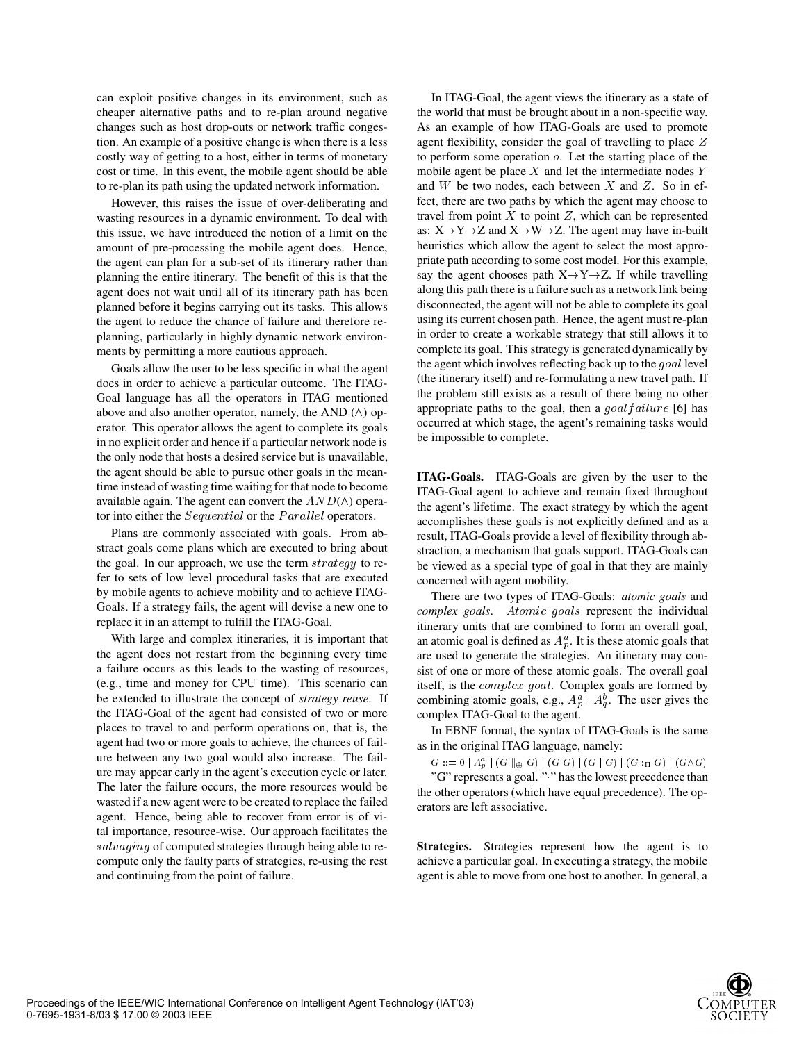can exploit positive changes in its environment, such as cheaper alternative paths and to re-plan around negative changes such as host drop-outs or network traffic congestion. An example of a positive change is when there is a less costly way of getting to a host, either in terms of monetary cost or time. In this event, the mobile agent should be able to re-plan its path using the updated network information.

However, this raises the issue of over-deliberating and wasting resources in a dynamic environment. To deal with this issue, we have introduced the notion of a limit on the amount of pre-processing the mobile agent does. Hence, the agent can plan for a sub-set of its itinerary rather than planning the entire itinerary. The benefit of this is that the agent does not wait until all of its itinerary path has been planned before it begins carrying out its tasks. This allows the agent to reduce the chance of failure and therefore replanning, particularly in highly dynamic network environments by permitting a more cautious approach.

Goals allow the user to be less specific in what the agent does in order to achieve a particular outcome. The ITAG-Goal language has all the operators in ITAG mentioned above and also another operator, namely, the AND  $(\wedge)$  operator. This operator allows the agent to complete its goals in no explicit order and hence if a particular network node is the only node that hosts a desired service but is unavailable, the agent should be able to pursue other goals in the meantime instead of wasting time waiting for that node to become available again. The agent can convert the  $AND(\wedge)$  operator into either the  $Sequential$  or the  $Parallel$  operators.

Plans are commonly associated with goals. From abstract goals come plans which are executed to bring about the goal. In our approach, we use the term  $strategy$  to refer to sets of low level procedural tasks that are executed by mobile agents to achieve mobility and to achieve ITAG-Goals. If a strategy fails, the agent will devise a new one to replace it in an attempt to fulfill the ITAG-Goal.

With large and complex itineraries, it is important that the agent does not restart from the beginning every time a failure occurs as this leads to the wasting of resources, (e.g., time and money for CPU time). This scenario can be extended to illustrate the concept of *strategy reuse*. If the ITAG-Goal of the agent had consisted of two or more places to travel to and perform operations on, that is, the agent had two or more goals to achieve, the chances of failure between any two goal would also increase. The failure may appear early in the agent's execution cycle or later. The later the failure occurs, the more resources would be wasted if a new agent were to be created to replace the failed agent. Hence, being able to recover from error is of vital importance, resource-wise. Our approach facilitates the  $salvaging$  of computed strategies through being able to recompute only the faulty parts of strategies, re-using the rest and continuing from the point of failure.

In ITAG-Goal, the agent views the itinerary as a state of the world that must be brought about in a non-specific way. As an example of how ITAG-Goals are used to promote agent flexibility, consider the goal of travelling to place  $Z$ to perform some operation  $o$ . Let the starting place of the mobile agent be place  $X$  and let the intermediate nodes  $Y$ and  $W$  be two nodes, each between  $X$  and  $Z$ . So in effect, there are two paths by which the agent may choose to travel from point  $X$  to point  $Z$ , which can be represented as:  $X \rightarrow Y \rightarrow Z$  and  $X \rightarrow W \rightarrow Z$ . The agent may have in-built heuristics which allow the agent to select the most appropriate path according to some cost model. For this example, say the agent chooses path  $X \rightarrow Y \rightarrow Z$ . If while travelling along this path there is a failure such as a network link being disconnected, the agent will not be able to complete its goal using its current chosen path. Hence, the agent must re-plan in order to create a workable strategy that still allows it to complete its goal. This strategy is generated dynamically by the agent which involves reflecting back up to the  $goal$  level (the itinerary itself) and re-formulating a new travel path. If the problem still exists as a result of there being no other appropriate paths to the goal, then a  $goalfailure$  [6] has occurred at which stage, the agent's remaining tasks would be impossible to complete.

**ITAG-Goals.** ITAG-Goals are given by the user to the ITAG-Goal agent to achieve and remain fixed throughout the agent's lifetime. The exact strategy by which the agent accomplishes these goals is not explicitly defined and as a result, ITAG-Goals provide a level of flexibility through abstraction, a mechanism that goals support. ITAG-Goals can be viewed as a special type of goal in that they are mainly concerned with agent mobility.

There are two types of ITAG-Goals: *atomic goals* and complex goals. Atomic goals represent the individual itinerary units that are combined to form an overall goal, an atomic goal is defined as  $A_p^a$ . It is these atomic goals that are used to generate the strategies. An itinerary may consist of one or more of these atomic goals. The overall goal itself, is the  $complex\ goal$ . Complex goals are formed by combining atomic goals, e.g.,  $A_p^a$   $A_q^b$ . The user gives the complex ITAG-Goal to the agent.

In EBNF format, the syntax of ITAG-Goals is the same as in the original ITAG language, namely:

 $G \mathrel{\mathop:}= U \mid A_{\eta}^{\circ} \mid (G \mid \oplus G) \mid (G \cdot G) \mid (G \mid G) \mid (G \cdot \Pi G) \mid (G \wedge G)$ 

"G" represents a goal. " " has the lowest precedence than the other operators (which have equal precedence). The operators are left associative.

**Strategies.** Strategies represent how the agent is to achieve a particular goal. In executing a strategy, the mobile agent is able to move from one host to another. In general, a

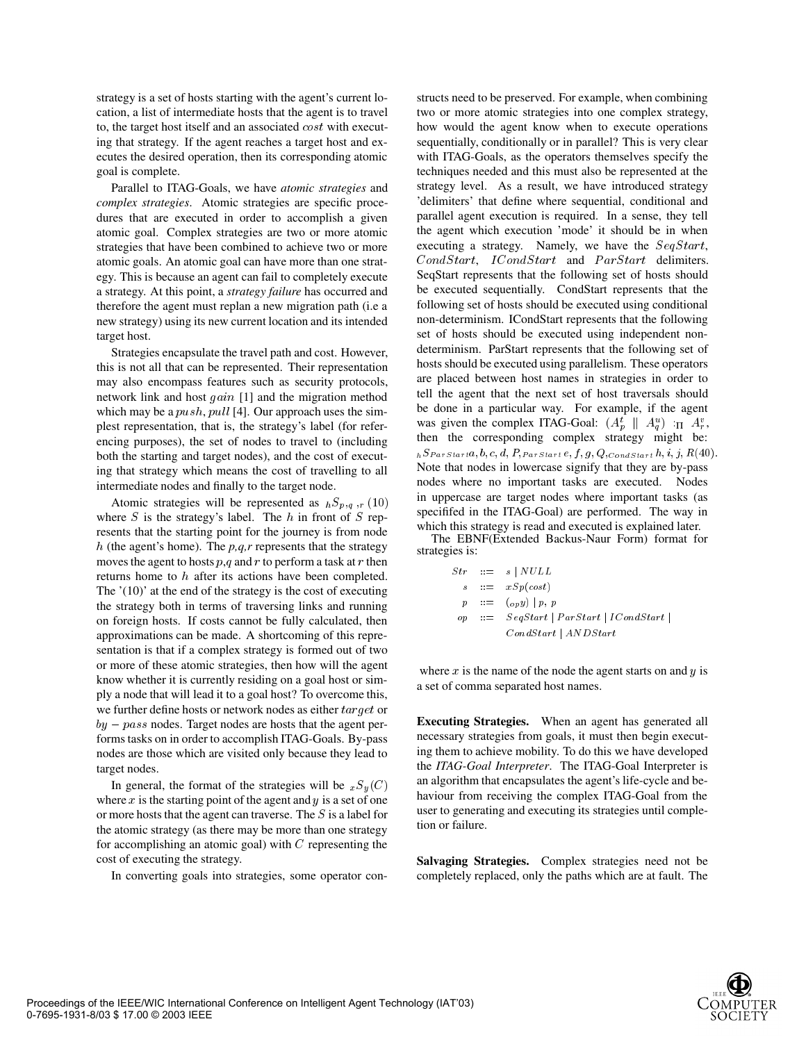strategy is a set of hosts starting with the agent's current location, a list of intermediate hosts that the agent is to travel to, the target host itself and an associated  $cost$  with executing that strategy. If the agent reaches a target host and executes the desired operation, then its corresponding atomic goal is complete.

Parallel to ITAG-Goals, we have *atomic strategies* and *complex strategies*. Atomic strategies are specific procedures that are executed in order to accomplish a given atomic goal. Complex strategies are two or more atomic strategies that have been combined to achieve two or more atomic goals. An atomic goal can have more than one strategy. This is because an agent can fail to completely execute a strategy. At this point, a *strategy failure* has occurred and therefore the agent must replan a new migration path (i.e a new strategy) using its new current location and its intended target host.

Strategies encapsulate the travel path and cost. However, this is not all that can be represented. Their representation may also encompass features such as security protocols, network link and host  $gain$  [1] and the migration method which may be a  $push, pull$  [4]. Our approach uses the simplest representation, that is, the strategy's label (for referencing purposes), the set of nodes to travel to (including both the starting and target nodes), and the cost of executing that strategy which means the cost of travelling to all intermediate nodes and finally to the target node.

Atomic strategies will be represented as  $_hS_{p,q}$ ,  $_r(10)$ where S is the strategy's label. The h in front of S represents that the starting point for the journey is from node  $h$  (the agent's home). The  $p, q, r$  represents that the strategy moves the agent to hosts  $p, q$  and  $r$  to perform a task at  $r$  then returns home to  $h$  after its actions have been completed. The  $'(10)'$  at the end of the strategy is the cost of executing the strategy both in terms of traversing links and running on foreign hosts. If costs cannot be fully calculated, then approximations can be made. A shortcoming of this representation is that if a complex strategy is formed out of two or more of these atomic strategies, then how will the agent know whether it is currently residing on a goal host or simply a node that will lead it to a goal host? To overcome this, we further define hosts or network nodes as either  $target$  or  $by - pass$  nodes. Target nodes are hosts that the agent performs tasks on in order to accomplish ITAG-Goals. By-pass nodes are those which are visited only because they lead to target nodes.

In general, the format of the strategies will be  ${}_{x}S_{y}(C)$ where  $x$  is the starting point of the agent and  $y$  is a set of one or more hosts that the agent can traverse. The  $S$  is a label for the atomic strategy (as there may be more than one strategy for accomplishing an atomic goal) with  $C$  representing the cost of executing the strategy.

In converting goals into strategies, some operator con-

specifited in the ITAG-Goal) are performed. The way in structs need to be preserved. For example, when combining two or more atomic strategies into one complex strategy, how would the agent know when to execute operations sequentially, conditionally or in parallel? This is very clear with ITAG-Goals, as the operators themselves specify the techniques needed and this must also be represented at the strategy level. As a result, we have introduced strategy 'delimiters' that define where sequential, conditional and parallel agent execution is required. In a sense, they tell the agent which execution 'mode' it should be in when executing a strategy. Namely, we have the  $SeqStart$ ,  $CondStart$ ,  $ICondStart$  and  $ParStart$  delimiters. SeqStart represents that the following set of hosts should be executed sequentially. CondStart represents that the following set of hosts should be executed using conditional non-determinism. ICondStart represents that the following set of hosts should be executed using independent nondeterminism. ParStart represents that the following set of hosts should be executed using parallelism. These operators are placed between host names in strategies in order to tell the agent that the next set of host traversals should be done in a particular way. For example, if the agent was given the complex ITAG-Goal:  $(A_p^t \parallel A_q^u)$   $\pi$   $A_r^v$ , then the corresponding complex strategy might be:  $_{h}S_{ParStart}a, b, c, d, P, p_{arStart}$   $e, f, g, Q,$   $CondStart}$   $h, i, j, R(40).$ Note that nodes in lowercase signify that they are by-pass nodes where no important tasks are executed. Nodes in uppercase are target nodes where important tasks (as which this strategy is read and executed is explained later.

The EBNF(Extended Backus-Naur Form) format for strategies is:

$$
Str \quad ::= \quad s \mid NULL
$$
\n
$$
s \quad ::= \quad xSp(cost)
$$
\n
$$
p \quad ::= \quad (opy) \mid p, p
$$
\n
$$
op \quad ::= \quad SegStart \mid ParStart \mid ICondStart \mid
$$
\n
$$
CondStart \mid ANDStart
$$

where  $x$  is the name of the node the agent starts on and  $y$  is a set of comma separated host names.

**Executing Strategies.** When an agent has generated all necessary strategies from goals, it must then begin executing them to achieve mobility. To do this we have developed the *ITAG-Goal Interpreter*. The ITAG-Goal Interpreter is an algorithm that encapsulates the agent's life-cycle and behaviour from receiving the complex ITAG-Goal from the user to generating and executing its strategies until completion or failure.

**Salvaging Strategies.** Complex strategies need not be completely replaced, only the paths which are at fault. The